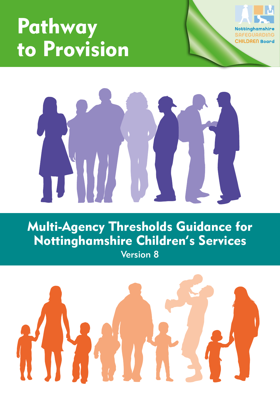# Pathway to Provision





Multi-Agency Thresholds Guidance for Nottinghamshire Children's Services Version 8

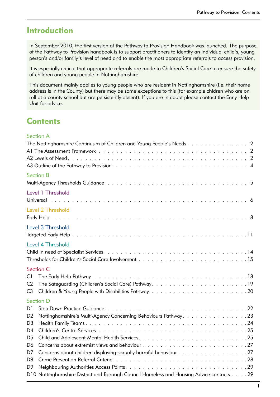### Introduction

In September 2010, the first version of the Pathway to Provision Handbook was launched. The purpose of the Pathway to Provision handbook is to support practitioners to identify an individual child's, young person's and/or family's level of need and to enable the most appropriate referrals to access provision.

It is especially critical that appropriate referrals are made to Children's Social Care to ensure the safety of children and young people in Nottinghamshire.

This document mainly applies to young people who are resident in Nottinghamshire (i.e. their home address is in the County) but there may be some exceptions to this (for example chldren who are on roll at a county school but are persistently absent). If you are in doubt please contact the Early Help Unit for advice.

### **Contents**

#### Section A

| <b>Section B</b>                                                                                                                                                                                                                     |  |
|--------------------------------------------------------------------------------------------------------------------------------------------------------------------------------------------------------------------------------------|--|
| Level 1 Threshold                                                                                                                                                                                                                    |  |
| <b>Level 2 Threshold</b>                                                                                                                                                                                                             |  |
| Level 3 Threshold                                                                                                                                                                                                                    |  |
| <b>Level 4 Threshold</b>                                                                                                                                                                                                             |  |
| <b>Section C</b><br>C1<br>The Safeguarding (Children's Social Care) Pathway19<br>C2<br>C <sub>3</sub>                                                                                                                                |  |
| <b>Section D</b><br>D1                                                                                                                                                                                                               |  |
| Nottinghamshire's Multi-Agency Concerning Behaviours Pathway. 23<br>D <sub>2</sub><br>D3<br>D4<br>D <sub>5</sub><br>D6<br>Concerns about children displaying sexually harmful behaviour 27<br>D7<br>D <sub>8</sub><br>D <sub>9</sub> |  |
| D10 Nottinghamshire District and Borough Council Homeless and Housing Advice contacts 29                                                                                                                                             |  |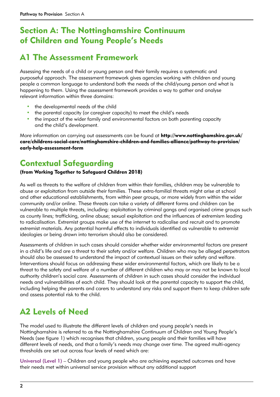### Section A: The Nottinghamshire Continuum of Children and Young People's Needs

### A1 The Assessment Framework

Assessing the needs of a child or young person and their family requires a systematic and purposeful approach. The assessment framework gives agencies working with children and young people a common language to understand both the needs of the child/young person and what is happening to them. Using the assessment framework provides a way to gather and analyse relevant information within three domains:

- the developmental needs of the child
- the parental capacity (or caregiver capacity) to meet the child's needs
- the impact of the wider family and environmental factors on both parenting capacity and the child's development.

More information on carrying out assessments can be found at [http://www.nottinghamshire.gov.uk/](http://www.nottinghamshire.gov.uk/care/childrens-social-care/nottinghamshire-children-and-families-alliance/pathway-to-provision/early-help-assessment-form) [care/childrens-social-care/nottinghamshire-children-and-families-alliance/pathway-to-provision/](http://www.nottinghamshire.gov.uk/care/childrens-social-care/nottinghamshire-children-and-families-alliance/pathway-to-provision/early-help-assessment-form) [early-help-assessment-form](http://www.nottinghamshire.gov.uk/care/childrens-social-care/nottinghamshire-children-and-families-alliance/pathway-to-provision/early-help-assessment-form) 

### Contextual Safeguarding

#### (from Working Together to Safeguard Children 2018)

As well as threats to the welfare of children from within their families, children may be vulnerable to abuse or exploitation from outside their families. These extra-familial threats might arise at school and other educational establishments, from within peer groups, or more widely from within the wider community and/or online. These threats can take a variety of different forms and children can be vulnerable to multiple threats, including: exploitation by criminal gangs and organised crime groups such as county lines; trafficking, online abuse; sexual exploitation and the influences of extremism leading to radicalisation. Extremist groups make use of the internet to radicalise and recruit and to promote extremist materials. Any potential harmful effects to individuals identified as vulnerable to extremist ideologies or being drawn into terrorism should also be considered.

Assessments of children in such cases should consider whether wider environmental factors are present in a child's life and are a threat to their safety and/or welfare. Children who may be alleged perpetrators should also be assessed to understand the impact of contextual issues on their safety and welfare. Interventions should focus on addressing these wider environmental factors, which are likely to be a threat to the safety and welfare of a number of different children who may or may not be known to local authority children's social care. Assessments of children in such cases should consider the individual needs and vulnerabilities of each child. They should look at the parental capacity to support the child, including helping the parents and carers to understand any risks and support them to keep children safe and assess potential risk to the child.

### A2 Levels of Need

The model used to illustrate the different levels of children and young people's needs in Nottinghamshire is referred to as the Nottinghamshire Continuum of Children and Young People's Needs (see figure 1) which recognises that children, young people and their families will have different levels of needs, and that a family's needs may change over time. The agreed multi-agency thresholds are set out across four levels of need which are:

Universal (Level 1) – Children and young people who are achieving expected outcomes and have their needs met within universal service provision without any additional support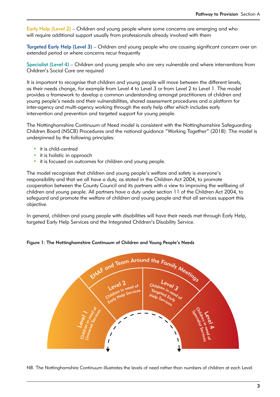Early Help (Level 2) – Children and young people where some concerns are emerging and who will require additional support usually from professionals already involved with them

Targeted Early Help (Level 3) – Children and young people who are causing significant concern over an extended period or where concerns recur frequently

Specialist (Level 4) – Children and young people who are very vulnerable and where interventions from Children's Social Care are required

It is important to recognise that children and young people will move between the different levels, as their needs change, for example from Level 4 to Level 3 or from Level 2 to Level 1. The model provides a framework to develop a common understanding amongst practitioners of children and young people's needs and their vulnerabilities, shared assessment procedures and a platform for inter-agency and multi-agency working through the early help offer which includes early intervention and prevention and targeted support for young people.

The Nottinghamshire Continuum of Need model is consistent with the Nottinghamshire Safeguarding Children Board (NSCB) Procedures and the national guidance "Working Together" (2018). The model is underpinned by the following principles:

- it is child-centred
- it is holistic in approach
- it is focused on outcomes for children and young people.

The model recognises that children and young people's welfare and safety is everyone's responsibility and that we all have a duty, as stated in the Children Act 2004, to promote cooperation between the County Council and its partners with a view to improving the wellbeing of children and young people. All partners have a duty under section 11 of the Children Act 2004, to safeguard and promote the welfare of children and young people and that all services support this objective.

In general, children and young people with disabilities will have their needs met through Early Help, targeted Early Help Services and the Integrated Children's Disability Service.

Figure 1: The Nottinghamshire Continuum of Children and Young People's Needs



NB. The Nottinghamshire Continuum illustrates the levels of need rather than numbers of children at each Level.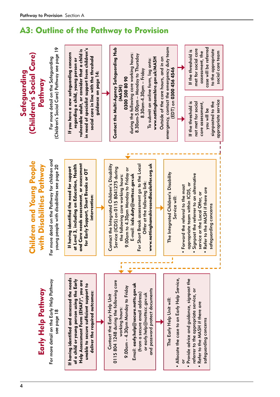# A3: Outline of the Pathway to Provision

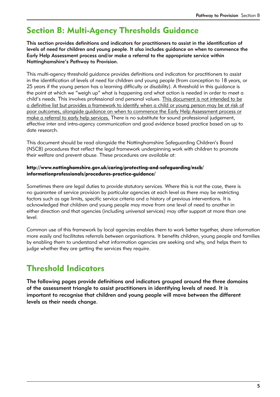### Section B: Multi-Agency Thresholds Guidance

This section provides definitions and indicators for practitioners to assist in the identification of levels of need for children and young people. It also includes guidance on when to commence the Early Help Assessment process and/or make a referral to the appropriate service within Nottinghamshire's Pathway to Provision.

This multi-agency threshold guidance provides definitions and indicators for practitioners to assist in the identification of levels of need for children and young people (from conception to 18 years, or 25 years if the young person has a learning difficulty or disability). A threshold in this guidance is the point at which we "weigh up" what is happening and what action is needed in order to meet a child's needs. This involves professional and personal values. This document is not intended to be a definitive list but provides a framework to identify when a child or young person may be at risk of poor outcomes, alongside guidance on when to commence the Early Help Assessment process or make a referral to early help services. There is no substitute for sound professional judgement, effective inter and intra-agency communication and good evidence based practice based on up to date research.

This document should be read alongside the Nottinghamshire Safeguarding Children's Board (NSCB) procedures that reflect the legal framework underpinning work with children to promote their welfare and prevent abuse. These procedures are available at:

#### http://www.nottinghamshire.gov.uk/caring/protecting-and-safeguarding/nscb/ informationprofessionals/procedures-practice-guidance/

Sometimes there are legal duties to provide statutory services. Where this is not the case, there is no guarantee of service provision by particular agencies at each level as there may be restricting factors such as age limits, specific service criteria and a history of previous interventions. It is acknowledged that children and young people may move from one level of need to another in either direction and that agencies (including universal services) may offer support at more than one level.

Common use of this framework by local agencies enables them to work better together, share information more easily and facilitates referrals between organisations. It benefits children, young people and families by enabling them to understand what information agencies are seeking and why, and helps them to judge whether they are getting the services they require.

### Threshold Indicators

The following pages provide definitions and indicators grouped around the three domains of the assessment triangle to assist practitioners in identifying levels of need. It is important to recognise that children and young people will move between the different levels as their needs change.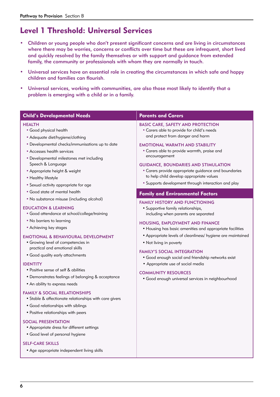### Level 1 Threshold: Universal Services

- Children or young people who don't present significant concerns and are living in circumstances where there may be worries, concerns or conflicts over time but these are infrequent, short lived and quickly resolved by the family themselves or with support and guidance from extended family, the community or professionals with whom they are normally in touch.
- Universal services have an essential role in creating the circumstances in which safe and happy children and families can flourish.
- Universal services, working with communities, are also those most likely to identify that a problem is emerging with a child or in a family.

| <b>Child's Developmental Needs</b>                                                                                                                                                                                                                                                                                                                                                                                                                                                                 | <b>Parents and Carers</b>                                                                                                                                                                                                                                                                                                                                                                                                                                                                                                        |
|----------------------------------------------------------------------------------------------------------------------------------------------------------------------------------------------------------------------------------------------------------------------------------------------------------------------------------------------------------------------------------------------------------------------------------------------------------------------------------------------------|----------------------------------------------------------------------------------------------------------------------------------------------------------------------------------------------------------------------------------------------------------------------------------------------------------------------------------------------------------------------------------------------------------------------------------------------------------------------------------------------------------------------------------|
| <b>HEALTH</b><br>• Good physical health<br>• Adequate diet/hygiene/clothing<br>• Developmental checks/immunisations up to date<br>• Accesses health services<br>• Developmental milestones met including<br>Speech & Language<br>• Appropriate height & weight<br>• Healthy lifestyle<br>• Sexual activity appropriate for age                                                                                                                                                                     | <b>BASIC CARE, SAFETY AND PROTECTION</b><br>• Carers able to provide for child's needs<br>and protect from danger and harm<br><b>EMOTIONAL WARMTH AND STABILITY</b><br>• Carers able to provide warmth, praise and<br>encouragement<br><b>GUIDANCE, BOUNDARIES AND STIMULATION</b><br>• Carers provide appropriate guidance and boundaries<br>to help child develop appropriate values<br>• Supports development through interaction and play                                                                                    |
| • Good state of mental health                                                                                                                                                                                                                                                                                                                                                                                                                                                                      | <b>Family and Environmental Factors</b>                                                                                                                                                                                                                                                                                                                                                                                                                                                                                          |
| • No substance misuse (including alcohol)<br><b>EDUCATION &amp; LEARNING</b><br>• Good attendance at school/college/training<br>• No barriers to learning<br>• Achieving key stages<br><b>EMOTIONAL &amp; BEHAVIOURAL DEVELOPMENT</b><br>• Growing level of competencies in<br>practical and emotional skills<br>• Good quality early attachments<br><b>IDENTITY</b><br>• Positive sense of self & abilities<br>• Demonstrates feelings of belonging & acceptance<br>• An ability to express needs | <b>FAMILY HISTORY AND FUNCTIONING</b><br>• Supportive family relationships,<br>including when parents are separated<br>HOUSING, EMPLOYMENT AND FINANCE<br>• Housing has basic amenities and appropriate facilities<br>• Appropriate levels of cleanliness/ hygiene are maintained<br>• Not living in poverty<br><b>FAMILY'S SOCIAL INTEGRATION</b><br>· Good enough social and friendship networks exist<br>• Appropriate use of social media<br><b>COMMUNITY RESOURCES</b><br>· Good enough universal services in neighbourhood |
| <b>FAMILY &amp; SOCIAL RELATIONSHIPS</b><br>• Stable & affectionate relationships with care givers<br>• Good relationships with siblings<br>• Positive relationships with peers<br><b>SOCIAL PRESENTATION</b><br>• Appropriate dress for different settings<br>• Good level of personal hygiene<br><b>SELF-CARE SKILLS</b>                                                                                                                                                                         |                                                                                                                                                                                                                                                                                                                                                                                                                                                                                                                                  |
| • Age appropriate independent living skills                                                                                                                                                                                                                                                                                                                                                                                                                                                        |                                                                                                                                                                                                                                                                                                                                                                                                                                                                                                                                  |
|                                                                                                                                                                                                                                                                                                                                                                                                                                                                                                    |                                                                                                                                                                                                                                                                                                                                                                                                                                                                                                                                  |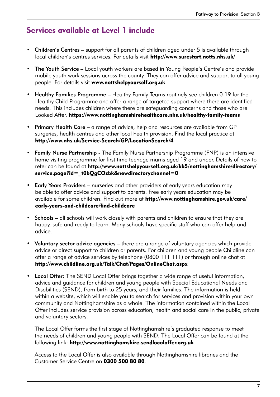### Services available at Level 1 include

- Children's Centres support for all parents of children aged under 5 is available through local children's centres services. For details visit http://www.surestart.notts.nhs.uk/
- The Youth Service Local youth workers are based in Young People's Centre's and provide mobile youth work sessions across the county. They can offer advice and support to all young people. For details visit www.nottshelpyourself.org.uk
- Healthy Families Programme Healthy Family Teams routinely see children 0-19 for the Healthy Child Programme and offer a range of targeted support where there are identified needs. This includes children where there are safeguarding concerns and those who are Looked After. https://www.nottinghamshirehealthcare.nhs.uk/healthy-family-teams
- Primary Health Care a range of advice, help and resources are available from GP surgeries, health centres and other local health provision. Find the local practice at http://www.nhs.uk/Service-Search/GP/LocationSearch/4
- Family Nurse Partnership The Family Nurse Partnership Programme (FNP) is an intensive home visiting programme for first time teenage mums aged 19 and under. Details of how to refer can be found at http://www.nottshelpyourself.org.uk/kb5/nottinghamshire/directory/ service.page?id=\_t0bQgCOzbk&newdirectorychannel=0
- Early Years Providers nurseries and other providers of early years education may be able to offer advice and support to parents. Free early years education may be available for some children. Find out more at http://www.nottinghamshire.gov.uk/care/ early-years-and-childcare/find-childcare
- Schools all schools will work closely with parents and children to ensure that they are happy, safe and ready to learn. Many schools have specific staff who can offer help and advice.
- Voluntary sector advice agencies there are a range of voluntary agencies which provide advice or direct support to children or parents. For children and young people Childline can offer a range of advice services by telephone (0800 111 111) or through online chat at http://www.childline.org.uk/Talk/Chat/Pages/OnlineChat.aspx
- Local Offer: The SEND Local Offer brings together a wide range of useful information, advice and guidance for children and young people with Special Educational Needs and Disabilities (SEND), from birth to 25 years, and their families. The information is held within a website, which will enable you to search for services and provision within your own community and Nottinghamshire as a whole. The information contained within the Local Offer includes service provision across education, health and social care in the public, private and voluntary sectors.

 The Local Offer forms the first stage of Nottinghamshire's graduated response to meet the needs of children and young people with SEND. The Local Offer can be found at the following link: http://www.nottinghamshire.sendlocaloffer.org.uk

 Access to the Local Offer is also available through Nottinghamshire libraries and the Customer Service Centre on 0300 500 80 80.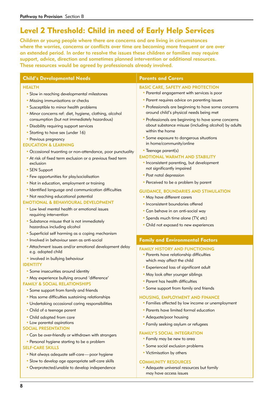### Level 2 Threshold: Child in need of Early Help Services

Children or young people where there are concerns and are living in circumstances where the worries, concerns or conflicts over time are becoming more frequent or are over an extended period. In order to resolve the issues these children or families may require support, advice, direction and sometimes planned intervention or additional resources. These resources would be agreed by professionals already involved.

| <b>Child's Developmental Needs</b>                                                                                                                                                                     | <b>Parents and Carers</b>                                                                                                                               |
|--------------------------------------------------------------------------------------------------------------------------------------------------------------------------------------------------------|---------------------------------------------------------------------------------------------------------------------------------------------------------|
| <b>HEALTH</b>                                                                                                                                                                                          | <b>BASIC CARE, SAFETY AND PROTECTION</b>                                                                                                                |
| • Slow in reaching developmental milestones                                                                                                                                                            | • Parental engagement with services is poor                                                                                                             |
| • Missing immunisations or checks                                                                                                                                                                      | • Parent requires advice on parenting issues                                                                                                            |
| • Susceptible to minor health problems                                                                                                                                                                 | • Professionals are beginning to have some concerns                                                                                                     |
| · Minor concerns ref: diet, hygiene, clothing, alcohol                                                                                                                                                 | around child's physical needs being met                                                                                                                 |
| consumption (but not immediately hazardous)                                                                                                                                                            | • Professionals are beginning to have some concerns                                                                                                     |
| • Disability requiring support services                                                                                                                                                                | about substance misuse (including alcohol) by adults                                                                                                    |
| • Starting to have sex (under 16)                                                                                                                                                                      | within the home                                                                                                                                         |
| • Previous pregnancy                                                                                                                                                                                   | • Some exposure to dangerous situations                                                                                                                 |
| <b>EDUCATION &amp; LEARNING</b>                                                                                                                                                                        | in home/community/online                                                                                                                                |
| • Occasional truanting or non-attendance, poor punctuality                                                                                                                                             | • Teenage parent(s)                                                                                                                                     |
| • At risk of fixed term exclusion or a previous fixed term                                                                                                                                             | <b>EMOTIONAL WARMTH AND STABILITY</b>                                                                                                                   |
| exclusion                                                                                                                                                                                              | • Inconsistent parenting, but development                                                                                                               |
| • SEN Support                                                                                                                                                                                          | not significantly impaired                                                                                                                              |
| • Few opportunities for play/socialisation                                                                                                                                                             | • Post natal depression                                                                                                                                 |
| • Not in education, employment or training                                                                                                                                                             | • Perceived to be a problem by parent                                                                                                                   |
| · Identified language and communication difficulties                                                                                                                                                   | <b>GUIDANCE, BOUNDARIES AND STIMULATION</b>                                                                                                             |
| • Not reaching educational potential                                                                                                                                                                   | • May have different carers                                                                                                                             |
| <b>EMOTIONAL &amp; BEHAVIOURAL DEVELOPMENT</b><br>• Low level mental health or emotional issues<br>requiring intervention<br>• Substance misuse that is not immediately<br>hazardous including alcohol | • Inconsistent boundaries offered<br>• Can behave in an anti-social way<br>· Spends much time alone (TV, etc)<br>• Child not exposed to new experiences |
| • Superficial self harming as a coping mechanism<br>• Involved in behaviour seen as anti-social                                                                                                        | <b>Family and Environmental Factors</b>                                                                                                                 |
| • Attachment issues and/or emotional development delay                                                                                                                                                 | <b>FAMILY HISTORY AND FUNCTIONING</b>                                                                                                                   |
| e.g. adopted child                                                                                                                                                                                     | • Parents have relationship difficulties                                                                                                                |
| · involved in bullying behaviour                                                                                                                                                                       | which may affect the child                                                                                                                              |
| <b>IDENTITY</b><br>• Some insecurities around identity<br>· May experience bullying around 'difference'<br><b>FAMILY &amp; SOCIAL RELATIONSHIPS</b>                                                    | • Experienced loss of significant adult<br>• May look after younger siblings<br>• Parent has health difficulties                                        |
| • Some support from family and friends                                                                                                                                                                 | • Some support from family and friends                                                                                                                  |
| • Has some difficulties sustaining relationships                                                                                                                                                       | <b>HOUSING, EMPLOYMENT AND FINANCE</b>                                                                                                                  |
| • Undertaking occasional caring responsibilities                                                                                                                                                       | • Families affected by low income or unemployment                                                                                                       |
| • Child of a teenage parent                                                                                                                                                                            | • Parents have limited formal education                                                                                                                 |
| • Child adopted from care<br>• Low parental aspirations<br><b>SOCIAL PRESENTATION</b><br>• Can be over-friendly or withdrawn with strangers                                                            | • Adequate/poor housing<br>• Family seeking asylum or refugees<br><b>FAMILY'S SOCIAL INTEGRATION</b>                                                    |
| • Personal hygiene starting to be a problem                                                                                                                                                            | • Family may be new to area                                                                                                                             |
| <b>SELF-CARE SKILLS</b>                                                                                                                                                                                | • Some social exclusion problems                                                                                                                        |
| • Not always adequate self-care-poor hygiene                                                                                                                                                           | • Victimisation by others                                                                                                                               |
| · Slow to develop age appropriate self-care skills                                                                                                                                                     | <b>COMMUNITY RESOURCES</b>                                                                                                                              |

- Overprotected/unable to develop independence
- Adequate universal resources but family may have access issues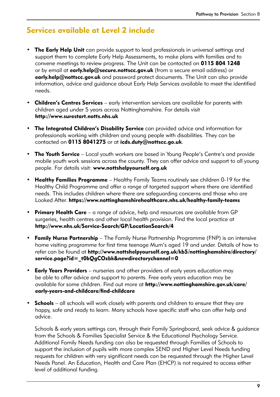### Services available at Level 2 include

- The Early Help Unit can provide support to lead professionals in universal settings and support them to complete Early Help Assessments, to make plans with families and to convene meetings to review progress. The Unit can be contacted on 0115 804 1248 or by email at early.help@secure.nottscc.gov.uk (from a secure email address) or early.help@nottscc.gov.uk and password protect documents. The Unit can also provide information, advice and guidance about Early Help Services available to meet the identified needs.
- **Children's Centres Services** early intervention services are available for parents with children aged under 5 years across Nottinghamshire. For details visit http://www.surestart.notts.nhs.uk
- The Integrated Children's Disability Service can provided advice and information for professionals working with children and young people with disabilities. They can be contacted on 0115 8041275 or at icds.duty@nottscc.go.uk.
- The Youth Service Local youth workers are based in Young People's Centre's and provide mobile youth work sessions across the county. They can offer advice and support to all young people. For details visit: www.nottshelpyourself.org.uk
- **Healthy Families Programme** Healthy Family Teams routinely see children 0-19 for the Healthy Child Programme and offer a range of targeted support where there are identified needs. This includes children where there are safeguarding concerns and those who are Looked After. https://www.nottinghamshirehealthcare.nhs.uk/healthy-family-teams
- Primary Health Care a range of advice, help and resources are available from GP surgeries, health centres and other local health provision. Find the local practice at http://www.nhs.uk/Service-Search/GP/LocationSearch/4
- **Family Nurse Partnership** The Family Nurse Partnership Programme (FNP) is an intensive home visiting programme for first time teenage Mum's aged 19 and under. Details of how to refer can be found at http://www.nottshelpyourself.org.uk/kb5/nottinghamshire/directory/ service.page?id= t0bQgCOzbk&newdirectorychannel=0
- Early Years Providers nurseries and other providers of early years education may be able to offer advice and support to parents. Free early years education may be available for some children. Find out more at http://www.nottinghamshire.gov.uk/care/ early-years-and-childcare/find-childcare
- **Schools** all schools will work closely with parents and children to ensure that they are happy, safe and ready to learn. Many schools have specific staff who can offer help and advice.

 Schools & early years settings can, through their Family Springboard, seek advice & guidance from the Schools & Families Specialist Service & the Educational Psychology Service. Additional Family Needs funding can also be requested through Families of Schools to support the inclusion of pupils with more complex SEND and Higher Level Needs funding requests for children with very significant needs can be requested through the Higher Level Needs Panel. An Education, Health and Care Plan (EHCP) is not required to access either level of additional funding.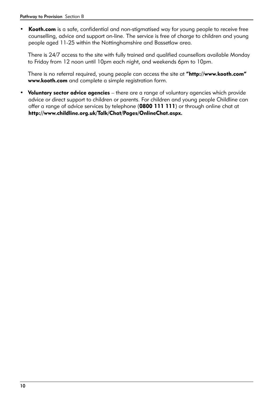• Kooth.com is a safe, confidential and non-stigmatised way for young people to receive free counselling, advice and support on-line. The service is free of charge to children and young people aged 11-25 within the Nottinghamshire and Bassetlaw area.

 There is 24/7 access to the site with fully trained and qualified counsellors available Monday to Friday from 12 noon until 10pm each night, and weekends 6pm to 10pm.

There is no referral required, young people can access the site at "http://www.kooth.com" www.kooth.com and complete a simple registration form.

• Voluntary sector advice agencies – there are a range of voluntary agencies which provide advice or direct support to children or parents. For children and young people Childline can offer a range of advice services by telephone (0800 111 111) or through online chat at http://www.childline.org.uk/Talk/Chat/Pages/OnlineChat.aspx.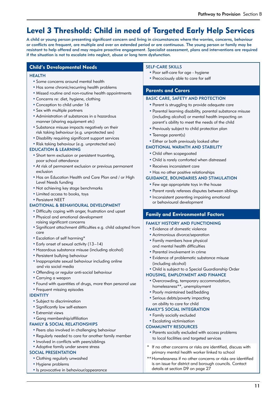### Level 3 Threshold: Child in need of Targeted Early Help Services

A child or young person presenting significant concern and living in circumstances where the worries, concerns, behaviour or conflicts are frequent, are multiple and over an extended period or are continuous. The young person or family may be resistant to help offered and may require proactive engagement. Specialist assessment, plans and interventions are required if the situation is not to escalate into neglect, abuse or long term dysfunction.

#### Child's Developmental Needs<br>SELF-CARE SKILLS

#### **HEALTH**

- Some concerns around mental health
- Has some chronic/recurring health problems
- Missed routine and non-routine health appointments
- Concerns re: diet, hygiene, clothing
- Conception to child under 16
- Sex with multiple partners
- Administration of substances in a hazardous manner (sharing equipment etc)
- Substance misuse impacts negatively on their risk taking behaviour (e.g. unprotected sex)
- Disability requiring significant support services
- Risk taking behaviour (e.g. unprotected sex)

#### EDUCATION & LEARNING

- Short term exclusion or persistent truanting, poor school attendance
- At risk of permanent exclusion or previous permanent exclusion
- Has an Education Health and Care Plan and / or High Level Needs funding
- Not achieving key stage benchmarks
- Limited access to books, toys
- Persistent NEET

#### EMOTIONAL & BEHAVIOURAL DEVELOPMENT

- Difficulty coping with anger, frustration and upset
- Physical and emotional development raising significant concerns
- Significant attachment difficulties e.g. child adopted from care
- Escalation of self harming\*
- Early onset of sexual activity (13–14)
- Hazardous substance misuse (including alcohol)
- Persistent bullying behaviour
- Inappropriate sexual behaviour including online and via social media
- Offending or regular anti-social behaviour
- Carrying a weapon
- Found with quantities of drugs, more than personal use
- Frequent missing episodes

#### IDENTITY

- Subject to discrimination
- Significantly low self-esteem
- Extremist views
- •Gang membership/affiliation

#### FAMILY & SOCIAL RELATIONSHIPS

- Peers also involved in challenging behaviour
- Regularly needed to care for another family member
- Involved in conflicts with peers/siblings
- Adoptive family under severe stress

#### SOCIAL PRESENTATION

- Clothing regularly unwashed
- Hygiene problems
- Is provocative in behaviour/appearance

- Poor self-care for age hygiene
- Precociously able to care for self

#### Parents and Carers

#### BASIC CARE, SAFETY AND PROTECTION

- Parent is struggling to provide adequate care
- Parental learning disability, parental substance misuse (including alcohol) or mental health impacting on parent's ability to meet the needs of the child
- Previously subject to child protection plan
- Teenage parent(s)

#### • Either or both previously looked after

#### EMOTIONAL WARMTH AND STABILITY

- Child often scapegoated
- Child is rarely comforted when distressed
- Receives inconsistent care
- Has no other positive relationships

#### GUIDANCE, BOUNDARIES AND STIMULATION

- Few age appropriate toys in the house
- Parent rarely referees disputes between siblings
- Inconsistent parenting impairing emotional or behavioural development

#### Family and Environmental Factors

#### FAMILY HISTORY AND FUNCTIONING

- Evidence of domestic violence
- Acrimonious divorce/separation
- Family members have physical and mental health difficulties
- Parental involvement in crime
- Evidence of problematic substance misuse (including alcohol)
- Child is subject to a Special Guardianship Order

#### HOUSING, EMPLOYMENT AND FINANCE

- Overcrowding, temporary accommodation, homelessness\*\*, unemployment
- Poorly maintained bed/bedding
- Serious debts/poverty impacting on ability to care for child

#### FAMILY'S SOCIAL INTEGRATION

- Family socially excluded
- Escalating victimisation

#### COMMUNITY RESOURCES

- Parents socially excluded with access problems to local facilities and targeted services
- \* If no other concerns or risks are identified, discuss with primary mental health worker linked to school
- \*\* Homelessness if no other concerns or risks are identified is an issue for district and borough councils. Contact details at section D9 on page 27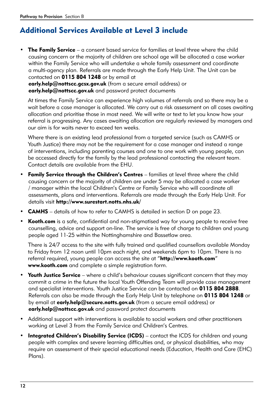### Additional Services Available at Level 3 include

• The Family Service – a consent based service for families at level three where the child causing concern or the majority of children are school age will be allocated a case worker within the Family Service who will undertake a whole family assessment and coordinate a multi-agency plan. Referrals are made through the Early Help Unit. The Unit can be contacted on 0115 804 1248 or by email at

early.help@nottscc.gcsx.gov.uk (from a secure email address) or early.help@nottscc.gov.uk and password protect documents

 At times the Family Service can experience high volumes of referrals and so there may be a wait before a case manager is allocated. We carry out a risk assessment on all cases awaiting allocation and prioritise those in most need. We will write or text to let you know how your referral is progressing. Any cases awaiting allocation are regularly reviewed by managers and our aim is for waits never to exceed ten weeks.

 Where there is an existing lead professional from a targeted service (such as CAMHS or Youth Justice) there may not be the requirement for a case manager and instead a range of interventions, including parenting courses and one to one work with young people, can be accessed directly for the family by the lead professional contacting the relevant team. Contact details are available from the EHU.

- **Family Service through the Children's Centres** families at level three where the child causing concern or the majority of children are under 5 may be allocated a case worker / manager within the local Children's Centre or Family Service who will coordinate all assessments, plans and interventions. Referrals are made through the Early Help Unit. For details visit http://www.surestart.notts.nhs.uk/
- **CAMHS** details of how to refer to CAMHS is detailed in section D on page 23.
- Kooth.com is a safe, confidential and non-stigmatised way for young people to receive free counselling, advice and support on-line. The service is free of charge to children and young people aged 11-25 within the Nottinghamshire and Bassetlaw area.

 There is 24/7 access to the site with fully trained and qualified counsellors available Monday to Friday from 12 noon until 10pm each night, and weekends 6pm to 10pm. There is no referral required, young people can access the site at "http://www.kooth.com" www.kooth.com and complete a simple registration form.

- Youth Justice Service where a child's behaviour causes significant concern that they may commit a crime in the future the local Youth Offending Team will provide case management and specialist interventions. Youth Justice Service can be contacted on 0115 804 2888. Referrals can also be made through the Early Help Unit by telephone on 0115 804 1248 or by email at **early.help@secure.notts.gov.uk** (from a secure email address) or early.help@nottscc.gov.uk and password protect documents
- Additional support with interventions is available to social workers and other practitioners working at Level 3 from the Family Service and Children's Centres.
- Integrated Children's Disability Service (ICDS) contact the ICDS for children and young people with complex and severe learning difficulties and, or physical disabilities, who may require an assessment of their special educational needs (Education, Health and Care (EHC) Plans).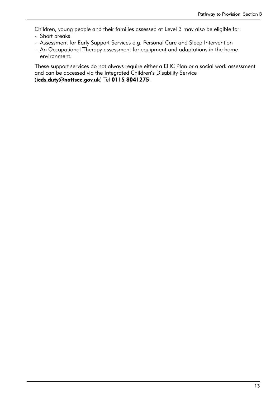Children, young people and their families assessed at Level 3 may also be eligible for:

- Short breaks
- Assessment for Early Support Services e.g. Personal Care and Sleep Intervention
- An Occupational Therapy assessment for equipment and adaptations in the home environment.

 These support services do not always require either a EHC Plan or a social work assessment and can be accessed via the Integrated Children's Disability Service (icds.duty@nottscc.gov.uk) Tel 0115 8041275.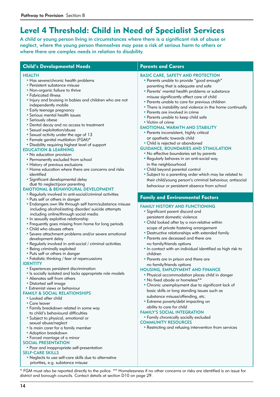### Level 4 Threshold: Child in Need of Specialist Services

A child or young person living in circumstances where there is a significant risk of abuse or neglect, where the young person themselves may pose a risk of serious harm to others or where there are complex needs in relation to disability.

#### Child's Developmental Needs Parents and Carers

#### **HEALTH**

- Has severe/chronic health problems
- Persistent substance misuse
- Non-organic failure to thrive
- Fabricated illness
- Injury and bruising in babies and children who are not independently mobile
- Early teenage pregnancy
- Serious mental health issues
- Seriously obese
- Dental decay and no access to treatment
- Sexual exploitation/abuse
- Sexual activity under the age of 13
- Female genital mutilation (FGM)\*
- Disability requiring highest level of support

#### EDUCATION & LEARNING

- No education provision
- Permanently excluded from school
- History of previous exclusions
- Home education where there are concerns and risks identified
- Significant developmental delay due to neglect/poor parenting

#### EMOTIONAL & BEHAVIOURAL DEVELOPMENT

- Regularly involved in anti-social/criminal activities
- Puts self or others in danger
- Endangers own life through self harm/substance misuse including alcohol/eating disorder/ suicide attempts including online/through social media
- In sexually exploitive relationship
- Frequently goes missing from home for long periods
- Child who abuses others
- Severe attachment problems and/or severe emotional development delay
- Regularly involved in anti-social / criminal activities
- Being criminally exploited
- Puts self or others in danger
- Fatalistic thinking / fear of repercussions

#### IDENTITY

- Experiences persistent discrimination
- Is socially isolated and lacks appropriate role models
- Alienates self from others
- Distorted self image
- Extremist views or behaviour

#### FAMILY & SOCIAL RELATIONSHIPS

- Looked after child
- Care leaver
- Family breakdown related in some way to child's behavioural difficulties
- Subject to physical, emotional or sexual abuse/neglect
- Is main carer for a family member
- Adoption breakdown
- Forced marriage of a minor

#### SOCIAL PRESENTATION

• Poor and inappropriate self-presentation

#### SELF-CARE SKILLS

• Neglects to use self-care skills due to alternative priorities, e.g. substance misuse

#### BASIC CARE, SAFETY AND PROTECTION

- Parents unable to provide "good enough" parenting that is adequate and safe
- Parents' mental health problems or substance misuse significantly affect care of child
- Parents unable to care for previous children
- There is instability and violence in the home continually
- Parents are involved in crime
- Parents unable to keep child safe
- Victim of crime

#### EMOTIONAL WARMTH AND STABILITY

- Parents inconsistent, highly critical or apathetic towards child
- Child is rejected or abandoned

#### GUIDANCE, BOUNDARIES AND STIMULATION

- No effective boundaries set by parents
- Regularly behaves in an anti-social way in the neighbourhood
- Child beyond parental control
- Subject to a parenting order which may be related to their child/young person's criminal behaviour, antisocial behaviour or persistent absence from school

#### Family and Environmental Factors

#### FAMILY HISTORY AND FUNCTIONING

- Significant parent discord and persistent domestic violence
- Child looked after by a non-relative within scope of private fostering arrangement
- Destructive relationships with extended family
- Parents are deceased and there are no family/friends options
- In contact with an individual identified as high risk to children
- Parents are in prison and there are

### no family/friends options

- HOUSING, EMPLOYMENT AND FINANCE
	- Physical accommodation places child in danger
	- No fixed abode or homeless\*\*
	- Chronic unemployment due to significant lack of basic skills or long standing issues such as substance misuse/offending, etc.
	- Extreme poverty/debt impacting on ability to care for child

#### FAMILY'S SOCIAL INTEGRATION

- Family chronically socially excluded
- COMMUNITY RESOURCES
	- Restricting and refusing intervention from services

\* FGM must also be reported directly to the police. \*\* Homelessness if no other concerns or risks are identified is an issue for district and borough councils. Contact details at section D10 on page 29.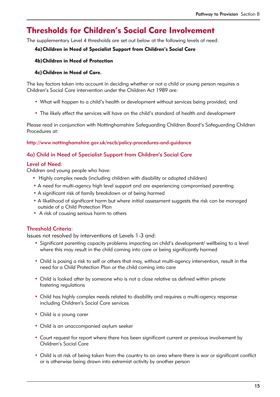### Thresholds for Children's Social Care Involvement

The supplementary Level 4 thresholds are set out below at the following levels of need:

#### 4a)Children in Need of Specialist Support from Children's Social Care

#### 4b)Children in Need of Protection

#### 4c)Children in Need of Care.

The key factors taken into account in deciding whether or not a child or young person requires a Children's Social Care intervention under the Children Act 1989 are:

- What will happen to a child's health or development without services being provided; and
- The likely effect the services will have on the child's standard of health and development

Please read in conjunction with Nottinghamshire Safeguarding Children Board's Safeguarding Children Procedures at:

#### http://www.nottinghamshire.gov.uk/nscb/policy-procedures-and-guidance

#### 4a) Child in Need of Specialist Support from Children's Social Care

#### Level of Need:

Children and young people who have:

- Highly complex needs (including children with disability or adopted children)
- A need for multi-agency high level support and are experiencing compromised parenting
- A significant risk of family breakdown or of being harmed
- A likelihood of significant harm but where initial assessment suggests the risk can be managed outside of a Child Protection Plan
- A risk of causing serious harm to others

#### Threshold Criteria:

Issues not resolved by interventions at Levels 1-3 and:

- Significant parenting capacity problems impacting on child's development/ wellbeing to a level where this may result in the child coming into care or being significantly harmed
- Child is posing a risk to self or others that may, without multi-agency intervention, result in the need for a Child Protection Plan or the child coming into care
- Child is looked after by someone who is not a close relative as defined within private fostering regulations
- Child has highly complex needs related to disability and requires a multi-agency response including Children's Social Care services
- Child is a young carer
- Child is an unaccompanied asylum seeker
- Court request for report where there has been significant current or previous involvement by Children's Social Care
- Child is at risk of being taken from the country to an area where there is war or significant conflict or is otherwise being drawn into extremist activity by another person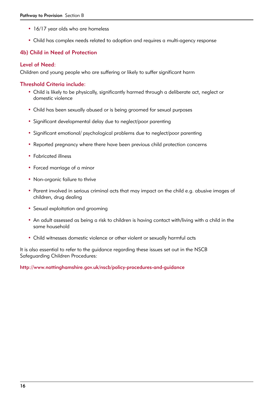- 16/17 year olds who are homeless
- Child has complex needs related to adoption and requires a multi-agency response

#### 4b) Child in Need of Protection

#### Level of Need:

Children and young people who are suffering or likely to suffer significant harm

#### Threshold Criteria include:

- Child is likely to be physically, significantly harmed through a deliberate act, neglect or domestic violence
- Child has been sexually abused or is being groomed for sexual purposes
- Significant developmental delay due to neglect/poor parenting
- Significant emotional/ psychological problems due to neglect/poor parenting
- Reported pregnancy where there have been previous child protection concerns
- Fabricated illness
- Forced marriage of a minor
- Non-organic failure to thrive
- Parent involved in serious criminal acts that may impact on the child e.g. abusive images of children, drug dealing
- Sexual exploitation and grooming
- An adult assessed as being a risk to children is having contact with/living with a child in the same household
- Child witnesses domestic violence or other violent or sexually harmful acts

It is also essential to refer to the guidance regarding these issues set out in the NSCB Safeguarding Children Procedures:

http://www.nottinghamshire.gov.uk/nscb/policy-procedures-and-guidance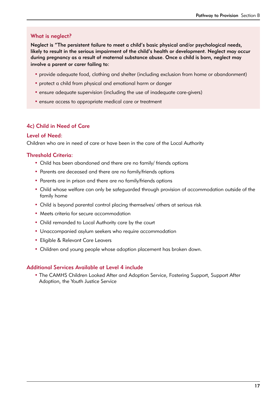#### What is neglect?

Neglect is "The persistent failure to meet a child's basic physical and/or psychological needs, likely to result in the serious impairment of the child's health or development. Neglect may occur during pregnancy as a result of maternal substance abuse. Once a child is born, neglect may involve a parent or carer failing to:

- provide adequate food, clothing and shelter (including exclusion from home or abandonment)
- protect a child from physical and emotional harm or danger
- ensure adequate supervision (including the use of inadequate care-givers)
- ensure access to appropriate medical care or treatment

#### 4c) Child in Need of Care

#### Level of Need:

Children who are in need of care or have been in the care of the Local Authority

#### Threshold Criteria:

- Child has been abandoned and there are no family/ friends options
- Parents are deceased and there are no family/friends options
- Parents are in prison and there are no family/friends options
- Child whose welfare can only be safeguarded through provision of accommodation outside of the family home
- Child is beyond parental control placing themselves/ others at serious risk
- Meets criteria for secure accommodation
- Child remanded to Local Authority care by the court
- Unaccompanied asylum seekers who require accommodation
- Eligible & Relevant Care Leavers
- Children and young people whose adoption placement has broken down.

#### Additional Services Available at Level 4 include

• The CAMHS Children Looked After and Adoption Service, Fostering Support, Support After Adoption, the Youth Justice Service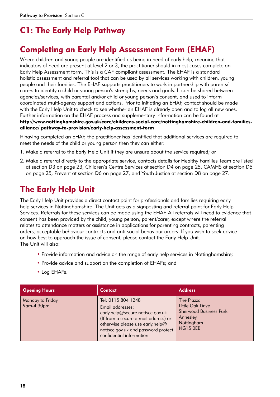## C1: The Early Help Pathway

### Completing an Early Help Assessment Form (EHAF)

Where children and young people are identified as being in need of early help, meaning that indicators of need are present at level 2 or 3, the practitioner should in most cases complete an Early Help Assessment form. This is a CAF compliant assessment. The EHAF is a standard holistic assessment and referral tool that can be used by all services working with children, young people and their families. The EHAF supports practitioners to work in partnership with parents/ carers to identify a child or young person's strengths, needs and goals. It can be shared between agencies/services, with parental and/or child or young person's consent, and used to inform coordinated multi-agency support and actions. Prior to initiating an EHAF, contact should be made with the Early Help Unit to check to see whether an EHAF is already open and to log all new ones. Further information on the EHAF process and supplementary information can be found at http://www.nottinghamshire.gov.uk/care/childrens-social-care/nottinghamshire-children-and-familiesalliance/ pathway-to-provision/early-help-assessment-form

If having completed an EHAF, the practitioner has identified that additional services are required to meet the needs of the child or young person then they can either:

- 1. Make a referral to the Early Help Unit if they are unsure about the service required; or
- 2. Make a referral directly to the appropriate service, contacts details for Healthy Families Team are listed at section D3 on page 23, Children's Centre Services at section D4 on page 25, CAMHS at section D5 on page 25, Prevent at section D6 on page 27, and Youth Justice at section D8 on page 27.

### The Early Help Unit

The Early Help Unit provides a direct contact point for professionals and families requiring early help services in Nottinghamshire. The Unit acts as a signposting and referral point for Early Help Services. Referrals for these services can be made using the EHAF. All referrals will need to evidence that consent has been provided by the child, young person, parent/carer, except where the referral relates to attendance matters or assistance in applications for parenting contracts, parenting orders, acceptable behaviour contracts and anti-social behaviour orders. If you wish to seek advice on how best to approach the issue of consent, please contact the Early Help Unit. The Unit will also:

- Provide information and advice on the range of early help services in Nottinghamshire;
- Provide advice and support on the completion of EHAFs; and
- Log EHAFs.

| <b>Opening Hours</b>           | <b>Contact</b>                                                                                                                                                                                                            | <b>Address</b>                                                                                        |
|--------------------------------|---------------------------------------------------------------------------------------------------------------------------------------------------------------------------------------------------------------------------|-------------------------------------------------------------------------------------------------------|
| Monday to Friday<br>9am-4.30pm | Tel: 0115 804 1248<br>Email addresses:<br>early.help@secure.nottscc.gov.uk<br>(If from a secure e-mail address) or<br>otherwise please use early.help@<br>nottscc.gov.uk and password protect<br>confidential information | The Piazza<br>Little Oak Drive<br><b>Sherwood Business Park</b><br>Annesley<br>Nottingham<br>NG15 OEB |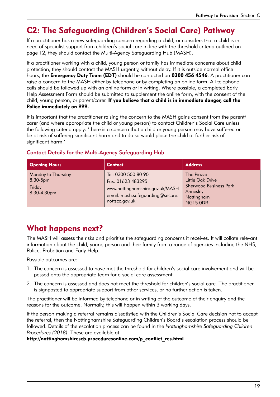### C2: The Safeguarding (Children's Social Care) Pathway

If a practitioner has a new safeguarding concern regarding a child, or considers that a child is in need of specialist support from children's social care in line with the threshold criteria outlined on page 12, they should contact the Multi-Agency Safeguarding Hub (MASH).

If a practitioner working with a child, young person or family has immediate concerns about child protection, they should contact the MASH urgently, without delay. If it is outside normal office hours, the **Emergency Duty Team (EDT)** should be contacted on **0300 456 4546**. A practitioner can raise a concern to the MASH either by telephone or by completing an online form. All telephone calls should be followed up with an online form or in writing. Where possible, a completed Early Help Assessment Form should be submitted to supplement the online form, with the consent of the child, young person, or parent/carer. If you believe that a child is in immediate danger, call the Police immediately on 999.

It is important that the practitioner raising the concern to the MASH gains consent from the parent/ carer (and where appropriate the child or young person) to contact Children's Social Care unless the following criteria apply: 'there is a concern that a child or young person may have suffered or be at risk of suffering significant harm and to do so would place the child at further risk of significant harm.'

#### Contact Details for the Multi-Agency Safeguarding Hub

| <b>Opening Hours</b>                                    | Contact                                                                                                                           | <b>Address</b>                                                                                               |
|---------------------------------------------------------|-----------------------------------------------------------------------------------------------------------------------------------|--------------------------------------------------------------------------------------------------------------|
| Monday to Thursday<br>8.30-5pm<br>Friday<br>8.30-4.30pm | Tel: 0300 500 80 90<br>Fax: 01623 483295<br>www.nottinghamshire.gov.uk/MASH<br>email: mash.safeguarding@secure.<br>nottscc.gov.uk | The Piazza<br>Little Oak Drive<br><b>Sherwood Business Park</b><br>Annesley<br>Nottingham<br><b>NG15 0DR</b> |

### What happens next?

The MASH will assess the risks and prioritise the safeguarding concerns it receives. It will collate relevant information about the child, young person and their family from a range of agencies including the NHS, Police, Probation and Early Help.

Possible outcomes are:

- 1. The concern is assessed to have met the threshold for children's social care involvement and will be passed onto the appropriate team for a social care assessment.
- 2. The concern is assessed and does not meet the threshold for children's social care. The practitioner is signposted to appropriate support from other services, or no further action is taken.

The practitioner will be informed by telephone or in writing of the outcome of their enquiry and the reasons for the outcome. Normally, this will happen within 3 working days.

If the person making a referral remains dissatisfied with the Children's Social Care decision not to accept the referral, then the Nottinghamshire Safeguarding Children's Board's escalation process should be followed. Details of the escalation process can be found in the *Nottinghamshire Safeguarding Children Procedures (2018)*. These are available at:

http://nottinghamshirescb.proceduresonline.com/p\_conflict\_res.html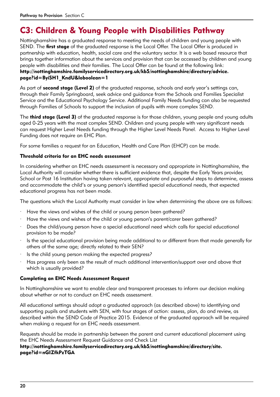### C3: Children & Young People with Disabilities Pathway

Nottinghamshire has a graduated response to meeting the needs of children and young people with SEND. The *first stage* of the graduated response is the Local Offer. The Local Offer is produced in partnership with education, health, social care and the voluntary sector. It is a web based resource that brings together information about the services and provision that can be accessed by children and young people with disabilities and their families. The Local Offer can be found at the following link: [http://nottinghamshire.familyservicedirectory.org.uk/kb5/nottinghamshire/directory/advice.](http://nottinghamshire.familyservicedirectory.org.uk/kb5/nottinghamshire/directory/advice.page?id=ByiSH1_KndU&loboolean=1) [page?id=ByiSH1\\_KndU&loboolean=1](http://nottinghamshire.familyservicedirectory.org.uk/kb5/nottinghamshire/directory/advice.page?id=ByiSH1_KndU&loboolean=1)

As part of **second stage (Level 2)** of the graduated response, schools and early year's settings can, through their Family Springboard, seek advice and guidance from the Schools and Families Specialist Service and the Educational Psychology Service. Additional Family Needs funding can also be requested through Families of Schools to support the inclusion of pupils with more complex SEND.

The third stage (Level 3) of the graduated response is for those children, young people and young adults aged 0-25 years with the most complex SEND. Children and young people with very significant needs can request Higher Level Needs funding through the Higher Level Needs Panel. Access to Higher Level Funding does not require an EHC Plan.

For some families a request for an Education, Health and Care Plan (EHCP) can be made.

#### Threshold criteria for an EHC needs assessment

In considering whether an EHC needs assessment is necessary and appropriate in Nottinghamshire, the Local Authority will consider whether there is sufficient evidence that, despite the Early Years provider, School or Post 16 Institution having taken relevant, appropriate and purposeful steps to determine, assess and accommodate the child's or young person's identified special educational needs, that expected educational progress has not been made.

The questions which the Local Authority must consider in law when determining the above are as follows:

- Have the views and wishes of the child or young person been gathered?
- Have the views and wishes of the child or young person's parent/carer been gathered?
- · Does the child/young person have a special educational need which calls for special educational provision to be made?
- · Is the special educational provision being made additional to or different from that made generally for others of the same age; directly related to their SEN?
- Is the child young person making the expected progress?
- · Has progress only been as the result of much additional intervention/support over and above that which is usually provided?

#### Completing an EHC Needs Assessment Request

In Nottinghamshire we want to enable clear and transparent processes to inform our decision making about whether or not to conduct an EHC needs assessment.

All educational settings should adopt a graduated approach (as described above) to identifying and supporting pupils and students with SEN, with four stages of action: assess, plan, do and review, as described within the SEND Code of Practice 2015. Evidence of the graduated approach will be required when making a request for an EHC needs assessment.

Requests should be made in partnership between the parent and current educational placement using the EHC Needs Assessment Request Guidance and Check List

#### [http://nottinghamshire.familyservicedirectory.org.uk/kb5/nottinghamshire/directory/site.](http://nottinghamshire.familyservicedirectory.org.uk/kb5/nottinghamshire/directory/site.page?id=nGIZfkPzTGA) [page?id=nGIZfkPzTGA](http://nottinghamshire.familyservicedirectory.org.uk/kb5/nottinghamshire/directory/site.page?id=nGIZfkPzTGA)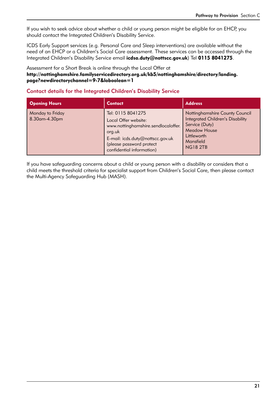If you wish to seek advice about whether a child or young person might be eligible for an EHCP, you should contact the Integrated Children's Disability Service.

ICDS Early Support services (e.g. Personal Care and Sleep interventions) are available without the need of an EHCP or a Children's Social Care assessment. These services can be accessed through the Integrated Children's Disability Service email icdsa.duty@nottscc.gov.uk) Tel 0115 8041275.

Assessment for a Short Break is online through the Local Offer at [http://nottinghamshire.familyservicedirectory.org.uk/kb5/nottinghamshire/directory/landing.](http://nottinghamshire.familyservicedirectory.org.uk/kb5/nottinghamshire/directory/landing.page?newdirectorychannel=9-7&loboolean=1) [page?newdirectorychannel=9-7&loboolean=1](http://nottinghamshire.familyservicedirectory.org.uk/kb5/nottinghamshire/directory/landing.page?newdirectorychannel=9-7&loboolean=1)

#### Contact details for the Integrated Children's Disability Service

| <b>Opening Hours</b>              | <b>Contact</b>                                                                                                                                                                          | <b>Address</b>                                                                                                                                                    |
|-----------------------------------|-----------------------------------------------------------------------------------------------------------------------------------------------------------------------------------------|-------------------------------------------------------------------------------------------------------------------------------------------------------------------|
| Monday to Friday<br>8.30am-4.30pm | Tel: 0115 8041275<br>Local Offer website:<br>www.nottinghamshire.sendlocaloffer.<br>org.uk<br>E-mail: icds.duty@nottscc.gov.uk<br>(please password protect<br>confidential information) | Nottinghamshire County Council<br><b>Integrated Children's Disability</b><br>Service (Duty)<br><b>Meadow House</b><br>Littleworth<br>Mansfield<br><b>NG18 2TB</b> |

If you have safeguarding concerns about a child or young person with a disability or considers that a child meets the threshold criteria for specialist support from Children's Social Care, then please contact the Multi-Agency Safeguarding Hub (MASH).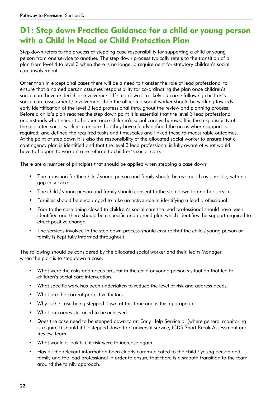### D1: Step down Practice Guidance for a child or young person with a Child in Need or Child Protection Plan

Step down refers to the process of stepping case responsibility for supporting a child or young person from one service to another. The step down process typically refers to the transition of a plan from level 4 to level 3 when there is no longer a requirement for statutory children's social care involvement.

Other than in exceptional cases there will be a need to transfer the role of lead professional to ensure that a named person assumes responsibility for co-ordinating the plan once children's social care have ended their involvement. If step down is a likely outcome following children's social care assessment / involvement then the allocated social worker should be working towards early identification of the level 3 lead professional throughout the review and planning process. Before a child's plan reaches the step down point it is essential that the level 3 lead professional understands what needs to happen once children's social care withdraws. It is the responsibility of the allocated social worker to ensure that they have clearly defined the areas where support is required, and defined the required tasks and timescales and linked these to measurable outcomes. At the point of step down it is also the responsibility of the allocated social worker to ensure that a contingency plan is identified and that the level 3 lead professional is fully aware of what would have to happen to warrant a re-referral to children's social care.

There are a number of principles that should be applied when stepping a case down:

- The transition for the child / young person and family should be as smooth as possible, with no gap in service.
- The child / young person and family should consent to the step down to another service.
- Families should be encouraged to take an active role in identifying a lead professional.
- Prior to the case being closed to children's social care the lead professional should have been identified and there should be a specific and agreed plan which identifies the support required to effect positive change.
- The services involved in the step down process should ensure that the child / young person or family is kept fully informed throughout.

The following should be considered by the allocated social worker and their Team Manager when the plan is to step down a case:

- What were the risks and needs present in the child or young person's situation that led to children's social care intervention.
- What specific work has been undertaken to reduce the level of risk and address needs.
- What are the current protective factors.
- Why is the case being stepped down at this time and is this appropriate.
- What outcomes still need to be achieved.
- Does the case need to be stepped down to an Early Help Service or (where general monitoring is required) should it be stepped down to a universal service, ICDS Short Break Assessment and Review Team.
- What would it look like if risk were to increase again.
- Has all the relevant information been clearly communicated to the child / young person and family and the lead professional in order to ensure that there is a smooth transition to the team around the family approach.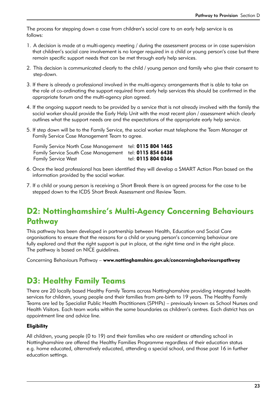The process for stepping down a case from children's social care to an early help service is as follows:

- 1. A decision is made at a multi-agency meeting / during the assessment process or in case supervision that children's social care involvement is no longer required in a child or young person's case but there remain specific support needs that can be met through early help services.
- 2. This decision is communicated clearly to the child / young person and family who give their consent to step-down.
- 3. If there is already a professional involved in the multi-agency arrangements that is able to take on the role of co-ordinating the support required from early help services this should be confirmed in the appropriate forum and the multi-agency plan agreed.
- 4. If the ongoing support needs to be provided by a service that is not already involved with the family the social worker should provide the Early Help Unit with the most recent plan / assessment which clearly outlines what the support needs are and the expectations of the appropriate early help service.
- 5. If step down will be to the Family Service, the social worker must telephone the Team Manager at Family Service Case Management Team to agree.

Family Service North Case Management tel: 0115 804 1465 Family Service South Case Management tel: 0115 854 6438 Family Service West tel: 0115 804 0346

- 6. Once the lead professional has been identified they will develop a SMART Action Plan based on the information provided by the social worker.
- 7. If a child or young person is receiving a Short Break there is an agreed process for the case to be stepped down to the ICDS Short Break Assessment and Review Team.

### D2: Nottinghamshire's Multi-Agency Concerning Behaviours **Pathway**

This pathway has been developed in partnership between Health, Education and Social Care organisations to ensure that the reasons for a child or young person's concerning behaviour are fully explored and that the right support is put in place, at the right time and in the right place. The pathway is based on NICE guidelines.

Concerning Behaviours Pathway – www.nottinghamshire.gov.uk/concerningbehaviourspathway

### D3: Healthy Family Teams

There are 20 locally based Healthy Family Teams across Nottinghamshire providing integrated health services for children, young people and their families from pre-birth to 19 years. The Healthy Family Teams are led by Specialist Public Health Practitioners (SPHPs) – previously known as School Nurses and Health Visitors. Each team works within the same boundaries as children's centres. Each district has an appointment line and advice line.

#### **Eligibility**

All children, young people (0 to 19) and their families who are resident or attending school in Nottinghamshire are offered the Healthy Families Programme regardless of their education status e.g. home educated, alternatively educated, attending a special school, and those post 16 in further education settings.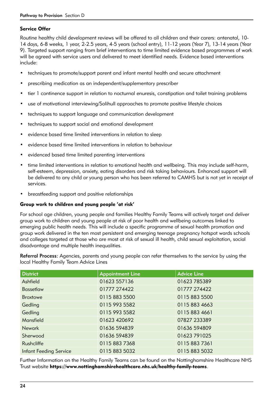#### Service Offer

Routine healthy child development reviews will be offered to all children and their carers: antenatal, 10- 14 days, 6-8 weeks, 1 year, 2-2.5 years, 4-5 years (school entry), 11-12 years (Year 7), 13-14 years (Year 9). Targeted support ranging from brief interventions to time limited evidence based programmes of work will be agreed with service users and delivered to meet identified needs. Evidence based interventions include:

- techniques to promote/support parent and infant mental health and secure attachment
- prescribing medication as an independent/supplementary prescriber
- tier 1 continence support in relation to nocturnal enuresis, constipation and toilet training problems
- use of motivational interviewing/Solihull approaches to promote positive lifestyle choices
- techniques to support language and communication development
- techniques to support social and emotional development
- evidence based time limited interventions in relation to sleep
- evidence based time limited interventions in relation to behaviour
- evidenced based time limited parenting interventions
- time limited interventions in relation to emotional health and wellbeing. This may include self-harm, self-esteem, depression, anxiety, eating disorders and risk taking behaviours. Enhanced support will be delivered to any child or young person who has been referred to CAMHS but is not yet in receipt of services.
- breastfeeding support and positive relationships

#### Group work to children and young people 'at risk'

For school age children, young people and families Healthy Family Teams will actively target and deliver group work to children and young people at risk of poor health and wellbeing outcomes linked to emerging public health needs. This will include a specific programme of sexual health promotion and group work delivered in the ten most persistent and emerging teenage pregnancy hotspot wards schools and colleges targeted at those who are most at risk of sexual ill health, child sexual exploitation, social disadvantage and multiple health inequalities.

Referral Process: Agencies, parents and young people can refer themselves to the service by using the local Healthy Family Team Advice Lines

| <b>District</b>               | <b>Appointment Line</b> | <b>Advice Line</b> |
|-------------------------------|-------------------------|--------------------|
| Ashfield                      | 01623 557136            | 01623785389        |
| <b>Bassetlaw</b>              | 01777 274422            | 01777 274422       |
| <b>Broxtowe</b>               | 0115 883 5500           | 0115 883 5500      |
| Gedling                       | 0115 993 5582           | 0115 883 4663      |
| Gedling                       | 0115 993 5582           | 0115 883 4661      |
| Mansfield                     | 01623 420692            | 07827 233389       |
| <b>Newark</b>                 | 01636 594839            | 01636 594809       |
| Sherwood                      | 01636 594839            | 01623 791025       |
| Rushcliffe                    | 01158837368             | 0115 883 7361      |
| <b>Infant Feeding Service</b> | 01158835032             | 01158835032        |

Further Information on the Healthy Family Teams can be found on the Nottinghamshire Healthcare NHS Trust website https://www.nottinghamshirehealthcare.nhs.uk/healthy-family-teams.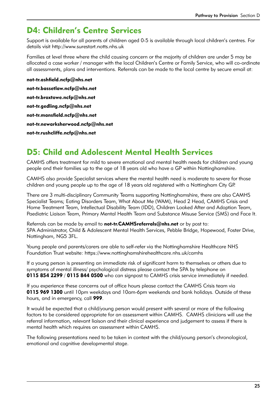### D4: Children's Centre Services

Support is available for all parents of children aged 0-5 is available through local children's centres. For details visit http://www.surestart.notts.nhs.uk

Families at level three where the child causing concern or the majority of children are under 5 may be allocated a case worker / manager with the local Children's Centre or Family Service, who will co-ordinate all assessments, plans and interventions. Referrals can be made to the local centre by secure email at:

not-tr.ashfield.ncfp@nhs.net not-tr.bassetlaw.ncfp@nhs.net not-tr.broxtowe.ncfp@nhs.net not-tr.gedling.ncfp@nhs.net not-tr.mansfield.ncfp@nhs.net not-tr.newarksherwood.ncfp@nhs.net not-tr.rushcliffe.ncfp@nhs.net

### D5: Child and Adolescent Mental Health Services

CAMHS offers treatment for mild to severe emotional and mental health needs for children and young people and their families up to the age of 18 years old who have a GP within Nottinghamshire.

CAMHS also provide Specialist services where the mental health need is moderate to severe for those children and young people up to the age of 18 years old registered with a Nottingham City GP.

There are 3 multi-disciplinary Community Teams supporting Nottinghamshire, there are also CAMHS Specialist Teams; Eating Disorders Team, What About Me (WAM), Head 2 Head, CAMHS Crisis and Home Treatment Team, Intellectual Disability Team (IDD), Children Looked After and Adoption Team, Paediatric Liaison Team, Primary Mental Health Team and Substance Misuse Service (SMS) and Face It.

Referrals can be made by email to not-tr.CAMHSreferrals@nhs.net or by post to: SPA Administrator, Child & Adolescent Mental Health Services, Pebble Bridge, Hopewood, Foster Drive, Nottingham, NG5 3FL.

Young people and parents/carers are able to self-refer via the Nottinghamshire Healthcare NHS Foundation Trust website: https://www.nottinghamshirehealthcare.nhs.uk/camhs

If a young person is presenting an immediate risk of significant harm to themselves or others due to symptoms of mental illness/ psychological distress please contact the SPA by telephone on 0115 854 2299 / 0115 844 0500 who can signpost to CAMHS crisis service immediately if needed.

If you experience these concerns out of office hours please contact the CAMHS Crisis team via 0115 969 1300 until 10pm weekdays and 10am-6pm weekends and bank holidays. Outside of these hours, and in emergency, call 999.

It would be expected that a child/young person would present with several or more of the following factors to be considered appropriate for an assessment within CAMHS. CAMHS clinicians will use the referral information, relevant liaison and their clinical experience and judgement to assess if there is mental health which requires an assessment within CAMHS.

The following presentations need to be taken in context with the child/young person's chronological, emotional and cognitive developmental stage.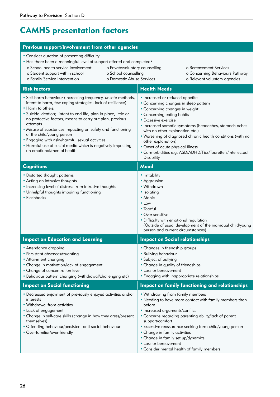## CAMHS presentation factors

#### Previous support/involvement from other agencies • Consider duration of presenting difficulty • Has there been a meaningful level of support offered and completed? **Risk factors Health Needs** • Self-harm behaviour (increasing frequency, unsafe methods, intent to harm, few coping strategies, lack of resilience) • Harm to others • Suicide ideation; intent to end life, plan in place, little or no protective factors, means to carry out plan, previous attempts • Misuse of substances impacting on safety and functioning of the child/young person • Engaging with risky/harmful sexual activities • Harmful use of social media which is negatively impacting on emotional/mental health • Increased or reduced appetite • Concerning changes in sleep pattern • Concerning changes in weight • Concerning eating habits • Excessive exercise • Increased somatic symptoms (headaches, stomach aches with no other explanation etc.) • Worsening of diagnosed chronic health conditions (with no other explanation) • Onset of acute physical illness • Co-morbidities e.g. ASD/ADHD/Tics/Tourette's/Intellectual **Disability Cognitions** Mood • Distorted thought patterns • Acting on intrusive thoughts • Increasing level of distress from intrusive thoughts • Unhelpful thoughts impairing functioning • Flashbacks • Irritability • Aggression • Withdrawn • Isolating • Manic  $\cdot$  Low • Tearful • Over-sensitive • Difficulty with emotional regulation (Outside of usual development of the individual child/young person and current circumstances) Impact on Education and Learning **Impact on Social relationships** • Attendance dropping • Persistent absences/truanting • Attainment changing • Change in motivation/lack of engagement • Change of concentration level • Behaviour pattern changing (withdrawal/challenging etc) • Changes in friendship groups • Bullying behaviour • Subject of bullying • Change in quality of friendships • Loss or bereavement • Engaging with inappropriate relationships Impact on Social functioning Theorem Impact on family functioning and relationships • Decreased enjoyment of previously enjoyed activities and/or interests • Withdrawal from activities • Lack of engagement • Change in self-care skills (change in how they dress/present • Withdrawing from family members • Needing to have more contact with family members than before • Increased arguments/conflict • Concerns regarding parenting ability/lack of parent o School health service involvement o Student support within school o Family Service Intervention o Private/voluntary counselling o School counselling o Domestic Abuse Services o Bereavement Services o Concerning Behaviours Pathway o Relevant voluntary agencies

support/comfort

• Loss or bereavement

• Change in family activities • Change in family set up/dynamics

• Excessive reassurance seeking form child/young person

• Consider mental health of family members

- themselves) • Offending behaviour/persistent anti-social behaviour
- Over-familiar/over-friendly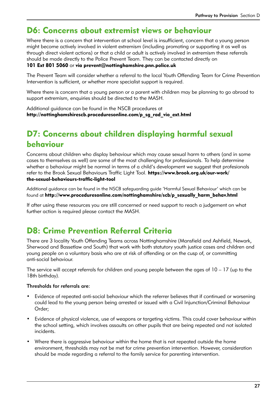### D6: Concerns about extremist views or behaviour

Where there is a concern that intervention at school level is insufficient, concern that a young person might become actively involved in violent extremism (including promoting or supporting it as well as through direct violent actions) or that a child or adult is actively involved in extremism these referrals should be made directly to the Police Prevent Team. They can be contacted directly on

#### 101 Ext 801 5060 or via prevent@nottinghamshire.pnn.police.uk

The Prevent Team will consider whether a referral to the local Youth Offending Team for Crime Prevention Intervention is sufficient, or whether more specialist support is required.

Where there is concern that a young person or a parent with children may be planning to go abroad to support extremism, enquiries should be directed to the MASH.

Additional guidance can be found in the NSCB procedures at http://nottinghamshirescb.proceduresonline.com/p\_sg\_rad\_vio\_ext.html

### D7: Concerns about children displaying harmful sexual behaviour

Concerns about children who display behaviour which may cause sexual harm to others (and in some cases to themselves as well) are some of the most challenging for professionals. To help determine whether a behaviour might be normal in terms of a child's development we suggest that profesionals refer to the Brook Sexual Behaviours Traffic Light Tool. https://www.brook.org.uk/our-work/ the-sexual-behaviours-traffic-light-tool

Additional guidance can be found in the NSCB safeguarding guide 'Harmful Sexual Behaviour' which can be found at http://www.proceduresonline.com/nottinghamshire/scb/p\_sexually\_harm\_behav.html

If after using these resources you are still concerned or need support to reach a judgement on what further action is required please contact the MASH.

### D8: Crime Prevention Referral Criteria

There are 3 locality Youth Offending Teams across Nottinghamshire (Mansfield and Ashfield, Newark, Sherwood and Bassetlaw and South) that work with both statutory youth justice cases and children and young people on a voluntary basis who are at risk of offending or on the cusp of, or committing anti-social behaviour.

The service will accept referrals for children and young people between the ages of  $10 - 17$  (up to the 18th birthday).

#### Thresholds for referrals are:

- Evidence of repeated anti-social behaviour which the referrer believes that if continued or worsening could lead to the young person being arrested or issued with a Civil Injunction/Criminal Behaviour Order;
- Evidence of physical violence, use of weapons or targeting victims. This could cover behaviour within the school setting, which involves assaults on other pupils that are being repeated and not isolated incidents.
- Where there is aggressive behaviour within the home that is not repeated outside the home environment, thresholds may not be met for crime prevention intervention. However, consideration should be made regarding a referral to the family service for parenting intervention.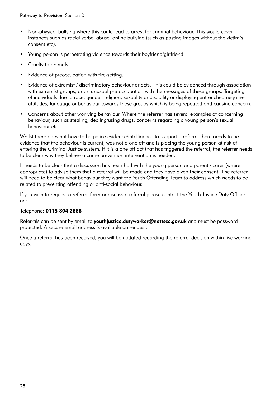- Non-physical bullying where this could lead to arrest for criminal behaviour. This would cover instances such as racial verbal abuse, online bullying (such as posting images without the victim's consent etc).
- Young person is perpetrating violence towards their boyfriend/girlfriend.
- Cruelty to animals.
- Evidence of preoccupation with fire-setting.
- Evidence of extremist / discriminatory behaviour or acts. This could be evidenced through association with extremist groups, or an unusual pre-occupation with the messages of these groups. Targeting of individuals due to race, gender, religion, sexuality or disability or displaying entrenched negative attitudes, language or behaviour towards these groups which is being repeated and causing concern.
- Concerns about other worrying behaviour. Where the referrer has several examples of concerning behaviour, such as stealing, dealing/using drugs, concerns regarding a young person's sexual behaviour etc.

Whilst there does not have to be police evidence/intelligence to support a referral there needs to be evidence that the behaviour is current, was not a one off and is placing the young person at risk of entering the Criminal Justice system. If it is a one off act that has triggered the referral, the referrer needs to be clear why they believe a crime prevention intervention is needed.

It needs to be clear that a discussion has been had with the young person and parent / carer (where appropriate) to advise them that a referral will be made and they have given their consent. The referrer will need to be clear what behaviour they want the Youth Offending Team to address which needs to be related to preventing offending or anti-social behaviour.

If you wish to request a referral form or discuss a referral please contact the Youth Justice Duty Officer on:

#### Telephone: 0115 804 2888

Referrals can be sent by email to **youthjustice.dutyworker@nottscc.gov.uk** and must be password protected. A secure email address is available on request.

Once a referral has been received, you will be updated regarding the referral decision within five working days.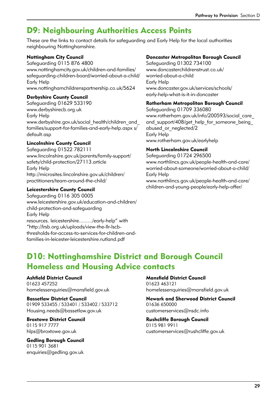### D9: Neighbouring Authorities Access Points

These are the links to contact details for safeguarding and Early Help for the local authorities neighbouring Nottinghamshire.

#### Nottingham City Council

Safeguarding 0115 876 4800 www.nottinghamcity.gov.uk/children-and-families/ safeguarding-children-board/worried-about-a-child/ Early Help

www.nottinghamchildrenspartnership.co.uk/5624

#### Derbyshire County Council

Safeguarding 01629 533190 www.derbyshirecb.org.uk Early Help www.derbyshire.gov.uk/social\_health/children\_and families/support-for-families-and-early-help.aspx s/ default.asp

#### Lincolnshire County Council

Safeguarding 01522 782111 www.lincolnshire.gov.uk/parents/family-support/ safety/child-protection/27113.article Early Help http://microsites.lincolnshire.gov.uk/children/ practitioners/team-around-the-child/

#### Leicestershire County Council

Safeguarding 0116 305 0005 www.leicestershire.gov.uk/education-and-children/ child-protection-and-safeguarding Early Help resources. leicestershire........./early-help" with "http://lrsb.org.uk/uploads/view-the-llr-lscbthresholds-for-access-to-services-for-children-andfamilies-in-leicester-leicestershire.rutland.pdf

#### Doncaster Metropolitan Borough Council

Safeguarding 01302 734100 www.doncasterchildrenstrust.co.uk/ worried-about-a-child Early Help www.doncaster.gov.uk/services/schools/ early-help-what-is-it-in-doncaster

#### Rotherham Metropolitan Borough Council

Safeguarding 01709 336080 www.rotherham.gov.uk/info/200593/social\_care\_ and support/408/get help for someone being abused or neglected/2 Early Help www.rotherham.gov.uk/earlyhelp

#### North Lincolnshire Council

Safeguarding 01724 296500 www.northlincs.gov.uk/people-health-and-care/ worried-about-someone/worried-about-a-child/ Early Help www.northlincs.gov.uk/people-health-and-care/ children-and-young-people/early-help-offer/

### D10: Nottinghamshire District and Borough Council Homeless and Housing Advice contacts

#### Ashfield District Council

01623 457252 homelessenquiries@mansfield.gov.uk

### Bassetlaw District Council

01909 533455 / 533401 / 533402 / 533712 Housing.needs@bassetlaw.gov.uk

#### Broxtowe District Council 0115 917 7777 hlps@broxtowe.gov.uk

Gedling Borough Council 0115 901 3681 enquiries@gedling.gov.uk

#### Mansfield District Council

01623 463121 homelessenquiries@mansfield.gov.uk

#### Newark and Sherwood District Council 01636 650000 customerservices@nsdc.info

#### Rushcliffe Borough Council 0115 981 9911 customerservices@rushcliffe.gov.uk

29